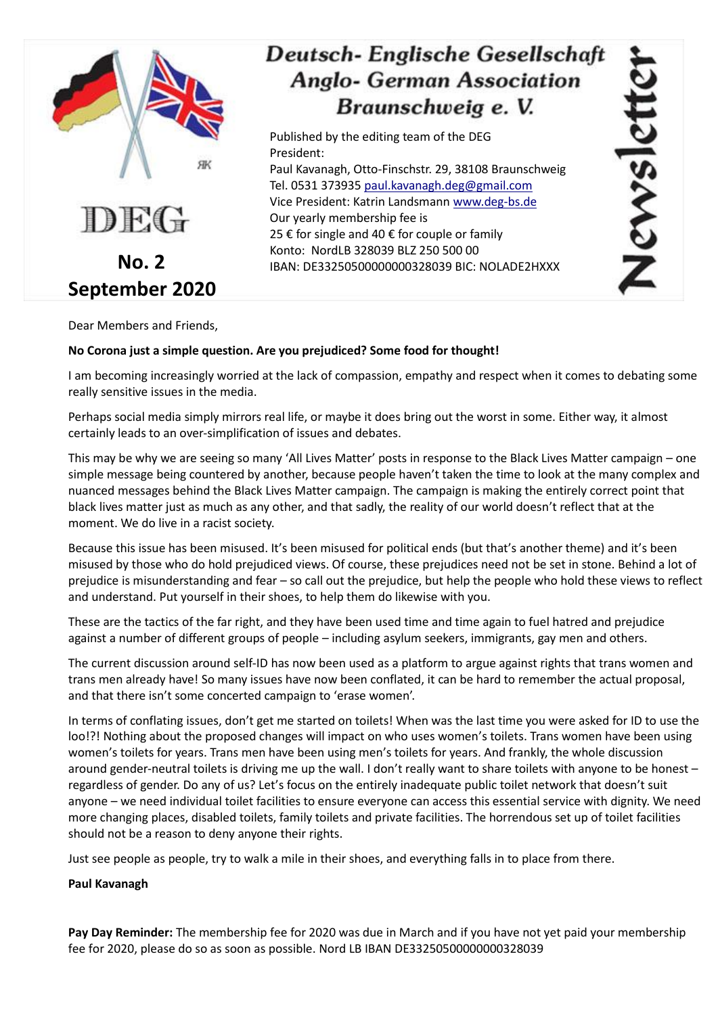

Dear Members and Friends,

#### **No Corona just a simple question. Are you prejudiced? Some food for thought!**

President:

I am becoming increasingly worried at the lack of compassion, empathy and respect when it comes to debating some really sensitive issues in the media.

Published by the editing team of the DEG

25 € for single and 40 € for couple or family Konto: NordLB 328039 BLZ 250 500 00

Our yearly membership fee is

Paul Kavanagh, Otto-Finschstr. 29, 38108 Braunschweig Tel. 0531 373935 [paul.kavanagh.deg@gmail.com](mailto:paul.kavanagh.deg@gmail.com)  Vice President: Katrin Landsmann [www.deg-bs.de](http://www.deg-bs.de/)

Newslett

Deutsch-Englische Gesellschaft

**Anglo- German Association** 

Braunschweig e. V.

IBAN: DE33250500000000328039 BIC: NOLADE2HXXX

Perhaps social media simply mirrors real life, or maybe it does bring out the worst in some. Either way, it almost certainly leads to an over-simplification of issues and debates.

This may be why we are seeing so many 'All Lives Matter' posts in response to the Black Lives Matter campaign – one simple message being countered by another, because people haven't taken the time to look at the many complex and nuanced messages behind the Black Lives Matter campaign. The campaign is making the entirely correct point that black lives matter just as much as any other, and that sadly, the reality of our world doesn't reflect that at the moment. We do live in a racist society.

Because this issue has been misused. It's been misused for political ends (but that's another theme) and it's been misused by those who do hold prejudiced views. Of course, these prejudices need not be set in stone. Behind a lot of prejudice is misunderstanding and fear – so call out the prejudice, but help the people who hold these views to reflect and understand. Put yourself in their shoes, to help them do likewise with you.

These are the tactics of the far right, and they have been used time and time again to fuel hatred and prejudice against a number of different groups of people – including asylum seekers, immigrants, gay men and others.

The current discussion around self-ID has now been used as a platform to argue against rights that trans women and trans men already have! So many issues have now been conflated, it can be hard to remember the actual proposal, and that there isn't some concerted campaign to 'erase women'.

In terms of conflating issues, don't get me started on toilets! When was the last time you were asked for ID to use the loo!?! Nothing about the proposed changes will impact on who uses women's toilets. Trans women have been using women's toilets for years. Trans men have been using men's toilets for years. And frankly, the whole discussion around gender-neutral toilets is driving me up the wall. I don't really want to share toilets with anyone to be honest – regardless of gender. Do any of us? Let's focus on the entirely inadequate public toilet network that doesn't suit anyone – we need individual toilet facilities to ensure everyone can access this essential service with dignity. We need more changing places, disabled toilets, family toilets and private facilities. The horrendous set up of toilet facilities should not be a reason to deny anyone their rights.

Just see people as people, try to walk a mile in their shoes, and everything falls in to place from there.

#### **Paul Kavanagh**

**Pay Day Reminder:** The membership fee for 2020 was due in March and if you have not yet paid your membership fee for 2020, please do so as soon as possible. Nord LB IBAN DE33250500000000328039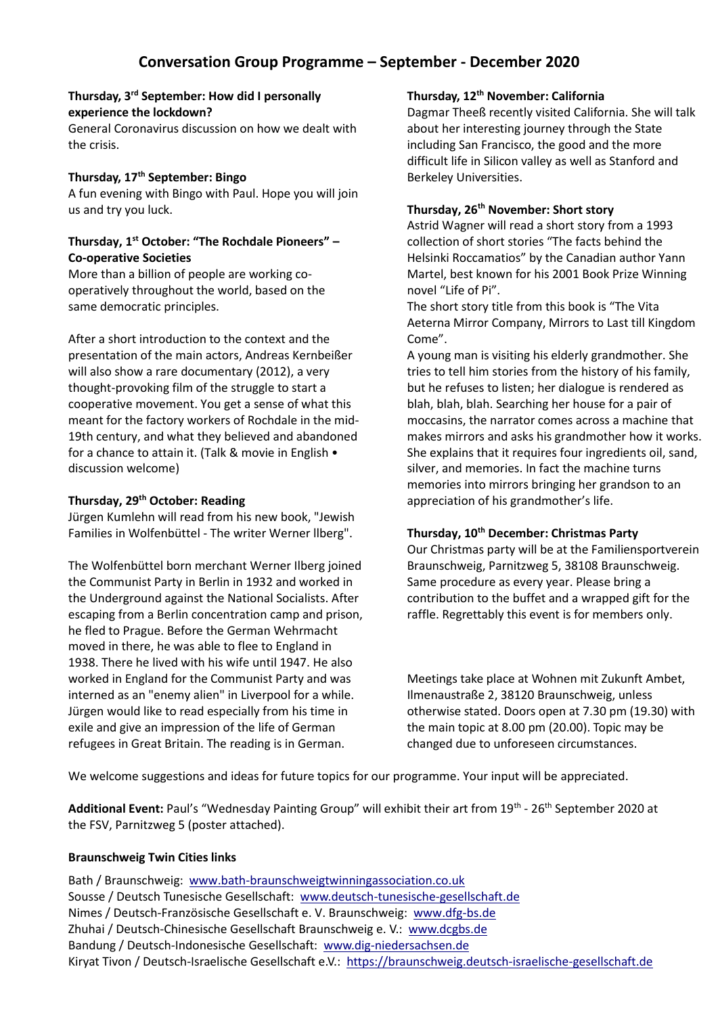#### **Thursday, 3 rd September: How did I personally experience the lockdown?**

General Coronavirus discussion on how we dealt with the crisis.

#### **Thursday, 17th September: Bingo**

A fun evening with Bingo with Paul. Hope you will join us and try you luck.

#### **Thursday, 1 st October: "The Rochdale Pioneers" – Co-operative Societies**

More than a billion of people are working cooperatively throughout the world, based on the same democratic principles.

After a short introduction to the context and the presentation of the main actors, Andreas Kernbeißer will also show a rare documentary (2012), a very thought-provoking film of the struggle to start a cooperative movement. You get a sense of what this meant for the factory workers of Rochdale in the mid-19th century, and what they believed and abandoned for a chance to attain it. (Talk & movie in English • discussion welcome)

## **Thursday, 29th October: Reading**

Jürgen Kumlehn will read from his new book, "Jewish Families in Wolfenbüttel - The writer Werner llberg".

The Wolfenbüttel born merchant Werner Ilberg joined the Communist Party in Berlin in 1932 and worked in the Underground against the National Socialists. After escaping from a Berlin concentration camp and prison, he fled to Prague. Before the German Wehrmacht moved in there, he was able to flee to England in 1938. There he lived with his wife until 1947. He also worked in England for the Communist Party and was interned as an "enemy alien" in Liverpool for a while. Jürgen would like to read especially from his time in exile and give an impression of the life of German refugees in Great Britain. The reading is in German.

#### **Thursday, 12th November: California**

Dagmar Theeß recently visited California. She will talk about her interesting journey through the State including San Francisco, the good and the more difficult life in Silicon valley as well as Stanford and Berkeley Universities.

#### **Thursday, 26th November: Short story**

Astrid Wagner will read a short story from a 1993 collection of short stories "The facts behind the Helsinki Roccamatios" by the Canadian author Yann Martel, best known for his 2001 Book Prize Winning novel "Life of Pi".

The short story title from this book is "The Vita Aeterna Mirror Company, Mirrors to Last till Kingdom Come".

A young man is visiting his elderly grandmother. She tries to tell him stories from the history of his family, but he refuses to listen; her dialogue is rendered as blah, blah, blah. Searching her house for a pair of moccasins, the narrator comes across a machine that makes mirrors and asks his grandmother how it works. She explains that it requires four ingredients oil, sand, silver, and memories. In fact the machine turns memories into mirrors bringing her grandson to an appreciation of his grandmother's life.

# **Thursday, 10th December: Christmas Party**

Our Christmas party will be at the Familiensportverein Braunschweig, Parnitzweg 5, 38108 Braunschweig. Same procedure as every year. Please bring a contribution to the buffet and a wrapped gift for the raffle. Regrettably this event is for members only.

Meetings take place at Wohnen mit Zukunft Ambet, Ilmenaustraße 2, 38120 Braunschweig, unless otherwise stated. Doors open at 7.30 pm (19.30) with the main topic at 8.00 pm (20.00). Topic may be changed due to unforeseen circumstances.

We welcome suggestions and ideas for future topics for our programme. Your input will be appreciated.

Additional Event: Paul's "Wednesday Painting Group" will exhibit their art from 19<sup>th</sup> - 26<sup>th</sup> September 2020 at the FSV, Parnitzweg 5 (poster attached).

# **Braunschweig Twin Cities links**

Bath / Braunschweig: [www.bath-braunschweigtwinningassociation.co.uk](http://www.bath-braunschweigtwinningassociation.co.uk/) Sousse / Deutsch Tunesische Gesellschaft: [www.deutsch-tunesische-gesellschaft.de](http://www.deutsch-tunesische-gesellschaft.de/)  Nimes / Deutsch-Französische Gesellschaft e. V. Braunschweig: [www.dfg-bs.de](http://www.dfg-bs.de/) Zhuhai / Deutsch-Chinesische Gesellschaft Braunschweig e. V.: [www.dcgbs.de](http://www.dcgbs.de/) Bandung / Deutsch-Indonesische Gesellschaft: [www.dig-niedersachsen.de](http://www.dig-niedersachsen.de/) Kiryat Tivon / Deutsch-Israelische Gesellschaft e.V.: [https://braunschweig.deutsch-israelische-gesellschaft.de](https://braunschweig.deutsch-israelische-gesellschaft.de/)